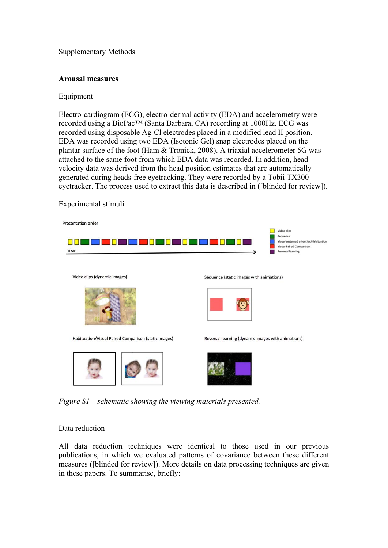Supplementary Methods

# **Arousal measures**

# Equipment

Electro-cardiogram (ECG), electro-dermal activity (EDA) and accelerometry were recorded using a BioPac™ (Santa Barbara, CA) recording at 1000Hz. ECG was recorded using disposable Ag-Cl electrodes placed in a modified lead II position. EDA was recorded using two EDA (Isotonic Gel) snap electrodes placed on the plantar surface of the foot (Ham & Tronick, 2008). A triaxial accelerometer 5G was attached to the same foot from which EDA data was recorded. In addition, head velocity data was derived from the head position estimates that are automatically generated during heads-free eyetracking. They were recorded by a Tobii TX300 eyetracker. The process used to extract this data is described in ([blinded for review]).

# Experimental stimuli



*Figure S1 – schematic showing the viewing materials presented.* 

### Data reduction

All data reduction techniques were identical to those used in our previous publications, in which we evaluated patterns of covariance between these different measures ([blinded for review]). More details on data processing techniques are given in these papers. To summarise, briefly: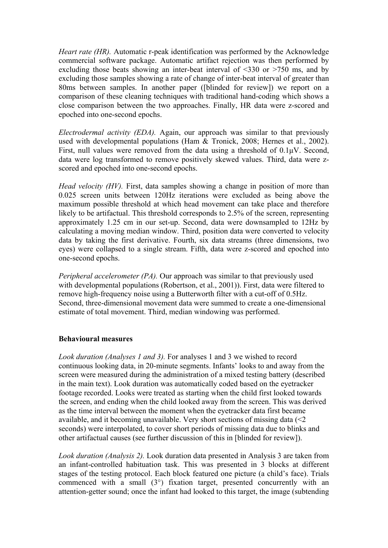*Heart rate (HR).* Automatic r-peak identification was performed by the Acknowledge commercial software package. Automatic artifact rejection was then performed by excluding those beats showing an inter-beat interval of <330 or >750 ms, and by excluding those samples showing a rate of change of inter-beat interval of greater than 80ms between samples. In another paper ([blinded for review]) we report on a comparison of these cleaning techniques with traditional hand-coding which shows a close comparison between the two approaches. Finally, HR data were z-scored and epoched into one-second epochs.

*Electrodermal activity (EDA).* Again, our approach was similar to that previously used with developmental populations (Ham & Tronick, 2008; Hernes et al., 2002). First, null values were removed from the data using a threshold of 0.1μV. Second, data were log transformed to remove positively skewed values. Third, data were zscored and epoched into one-second epochs.

*Head velocity (HV)*. First, data samples showing a change in position of more than 0.025 screen units between 120Hz iterations were excluded as being above the maximum possible threshold at which head movement can take place and therefore likely to be artifactual. This threshold corresponds to 2.5% of the screen, representing approximately 1.25 cm in our set-up. Second, data were downsampled to 12Hz by calculating a moving median window. Third, position data were converted to velocity data by taking the first derivative. Fourth, six data streams (three dimensions, two eyes) were collapsed to a single stream. Fifth, data were z-scored and epoched into one-second epochs.

*Peripheral accelerometer (PA).* Our approach was similar to that previously used with developmental populations (Robertson, et al., 2001)). First, data were filtered to remove high-frequency noise using a Butterworth filter with a cut-off of 0.5Hz. Second, three-dimensional movement data were summed to create a one-dimensional estimate of total movement. Third, median windowing was performed.

### **Behavioural measures**

*Look duration (Analyses 1 and 3).* For analyses 1 and 3 we wished to record continuous looking data, in 20-minute segments. Infants' looks to and away from the screen were measured during the administration of a mixed testing battery (described in the main text). Look duration was automatically coded based on the eyetracker footage recorded. Looks were treated as starting when the child first looked towards the screen, and ending when the child looked away from the screen. This was derived as the time interval between the moment when the eyetracker data first became available, and it becoming unavailable. Very short sections of missing data  $\leq 2$ seconds) were interpolated, to cover short periods of missing data due to blinks and other artifactual causes (see further discussion of this in [blinded for review]).

*Look duration (Analysis 2).* Look duration data presented in Analysis 3 are taken from an infant-controlled habituation task. This was presented in 3 blocks at different stages of the testing protocol. Each block featured one picture (a child's face). Trials commenced with a small (3°) fixation target, presented concurrently with an attention-getter sound; once the infant had looked to this target, the image (subtending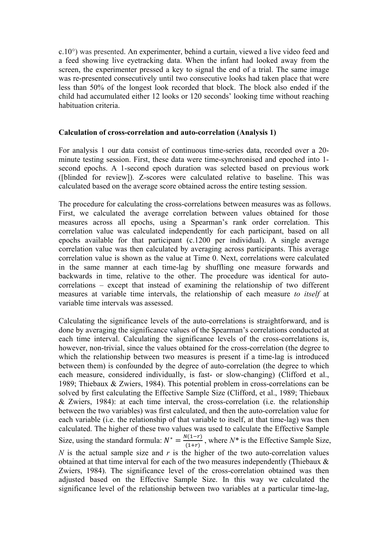c.10°) was presented. An experimenter, behind a curtain, viewed a live video feed and a feed showing live eyetracking data. When the infant had looked away from the screen, the experimenter pressed a key to signal the end of a trial. The same image was re-presented consecutively until two consecutive looks had taken place that were less than 50% of the longest look recorded that block. The block also ended if the child had accumulated either 12 looks or 120 seconds' looking time without reaching habituation criteria.

### **Calculation of cross-correlation and auto-correlation (Analysis 1)**

For analysis 1 our data consist of continuous time-series data, recorded over a 20 minute testing session. First, these data were time-synchronised and epoched into 1 second epochs. A 1-second epoch duration was selected based on previous work ([blinded for review]). Z-scores were calculated relative to baseline. This was calculated based on the average score obtained across the entire testing session.

The procedure for calculating the cross-correlations between measures was as follows. First, we calculated the average correlation between values obtained for those measures across all epochs, using a Spearman's rank order correlation. This correlation value was calculated independently for each participant, based on all epochs available for that participant (c.1200 per individual). A single average correlation value was then calculated by averaging across participants. This average correlation value is shown as the value at Time 0. Next, correlations were calculated in the same manner at each time-lag by shuffling one measure forwards and backwards in time, relative to the other. The procedure was identical for autocorrelations – except that instead of examining the relationship of two different measures at variable time intervals, the relationship of each measure *to itself* at variable time intervals was assessed.

Calculating the significance levels of the auto-correlations is straightforward, and is done by averaging the significance values of the Spearman's correlations conducted at each time interval. Calculating the significance levels of the cross-correlations is, however, non-trivial, since the values obtained for the cross-correlation (the degree to which the relationship between two measures is present if a time-lag is introduced between them) is confounded by the degree of auto-correlation (the degree to which each measure, considered individually, is fast- or slow-changing) (Clifford et al., 1989; Thiebaux & Zwiers, 1984). This potential problem in cross-correlations can be solved by first calculating the Effective Sample Size (Clifford, et al., 1989; Thiebaux & Zwiers, 1984): at each time interval, the cross-correlation (i.e. the relationship between the two variables) was first calculated, and then the auto-correlation value for each variable (i.e. the relationship of that variable to itself, at that time-lag) was then calculated. The higher of these two values was used to calculate the Effective Sample Size, using the standard formula:  $N^* = \frac{N(1-r)}{(1+r)}$ , where  $N^*$  is the Effective Sample Size, *N* is the actual sample size and  $r$  is the higher of the two auto-correlation values obtained at that time interval for each of the two measures independently (Thiebaux & Zwiers, 1984). The significance level of the cross-correlation obtained was then adjusted based on the Effective Sample Size. In this way we calculated the significance level of the relationship between two variables at a particular time-lag,